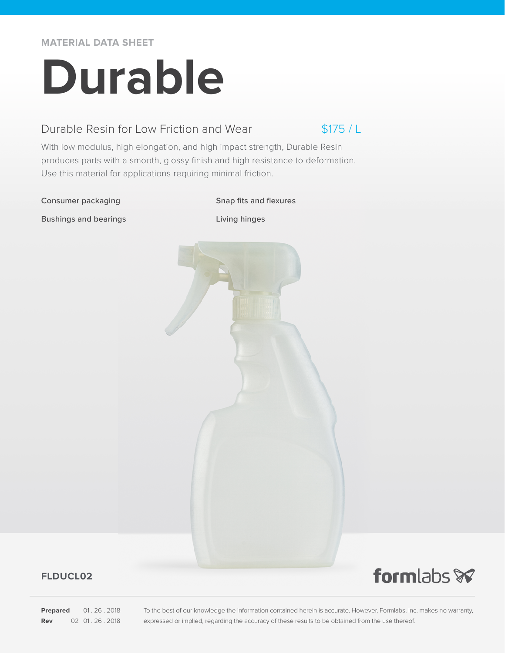**MATERIAL DATA SHEET**

# **Durable**

### Durable Resin for Low Friction and Wear

 $$175/1$ 

With low modulus, high elongation, and high impact strength, Durable Resin produces parts with a smooth, glossy finish and high resistance to deformation. Use this material for applications requiring minimal friction.

#### Consumer packaging Snap fits and flexures

Bushings and bearings Living hinges



#### **FLDUCL02**

**Prepared** 01.26.2018 **Rev** 02 01 . 26 . 2018

To the best of our knowledge the information contained herein is accurate. However, Formlabs, Inc. makes no warranty, expressed or implied, regarding the accuracy of these results to be obtained from the use thereof.

formlabs **x**